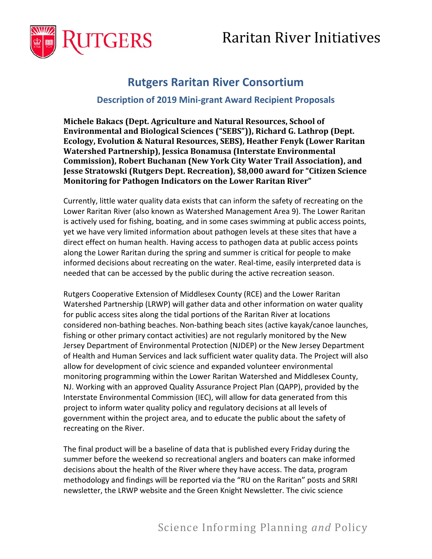# Raritan River Initiatives



# **Rutgers Raritan River Consortium**

# **Description of 2019 Mini-grant Award Recipient Proposals**

**Michele Bakacs (Dept. Agriculture and Natural Resources, School of Environmental and Biological Sciences ("SEBS")), Richard G. Lathrop (Dept. Ecology, Evolution & Natural Resources, SEBS), Heather Fenyk (Lower Raritan Watershed Partnership), Jessica Bonamusa (Interstate Environmental Commission), Robert Buchanan (New York City Water Trail Association), and Jesse Stratowski (Rutgers Dept. Recreation), \$8,000 award for "Citizen Science Monitoring for Pathogen Indicators on the Lower Raritan River"**

Currently, little water quality data exists that can inform the safety of recreating on the Lower Raritan River (also known as Watershed Management Area 9). The Lower Raritan is actively used for fishing, boating, and in some cases swimming at public access points, yet we have very limited information about pathogen levels at these sites that have a direct effect on human health. Having access to pathogen data at public access points along the Lower Raritan during the spring and summer is critical for people to make informed decisions about recreating on the water. Real-time, easily interpreted data is needed that can be accessed by the public during the active recreation season.

Rutgers Cooperative Extension of Middlesex County (RCE) and the Lower Raritan Watershed Partnership (LRWP) will gather data and other information on water quality for public access sites along the tidal portions of the Raritan River at locations considered non-bathing beaches. Non-bathing beach sites (active kayak/canoe launches, fishing or other primary contact activities) are not regularly monitored by the New Jersey Department of Environmental Protection (NJDEP) or the New Jersey Department of Health and Human Services and lack sufficient water quality data. The Project will also allow for development of civic science and expanded volunteer environmental monitoring programming within the Lower Raritan Watershed and Middlesex County, NJ. Working with an approved Quality Assurance Project Plan (QAPP), provided by the Interstate Environmental Commission (IEC), will allow for data generated from this project to inform water quality policy and regulatory decisions at all levels of government within the project area, and to educate the public about the safety of recreating on the River.

The final product will be a baseline of data that is published every Friday during the summer before the weekend so recreational anglers and boaters can make informed decisions about the health of the River where they have access. The data, program methodology and findings will be reported via the "RU on the Raritan" posts and SRRI newsletter, the LRWP website and the Green Knight Newsletter. The civic science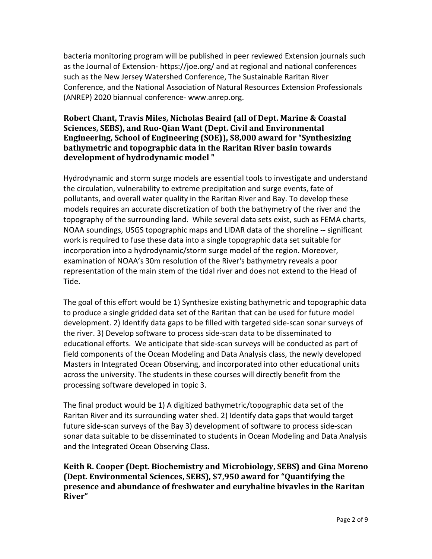bacteria monitoring program will be published in peer reviewed Extension journals such as the Journal of Extension- https://joe.org/ and at regional and national conferences such as the New Jersey Watershed Conference, The Sustainable Raritan River Conference, and the National Association of Natural Resources Extension Professionals (ANREP) 2020 biannual conference- www.anrep.org.

## **Robert Chant, Travis Miles, Nicholas Beaird (all of Dept. Marine & Coastal Sciences, SEBS), and Ruo-Qian Want (Dept. Civil and Environmental Engineering, School of Engineering (SOE)), \$8,000 award for "Synthesizing bathymetric and topographic data in the Raritan River basin towards development of hydrodynamic model "**

Hydrodynamic and storm surge models are essential tools to investigate and understand the circulation, vulnerability to extreme precipitation and surge events, fate of pollutants, and overall water quality in the Raritan River and Bay. To develop these models requires an accurate discretization of both the bathymetry of the river and the topography of the surrounding land. While several data sets exist, such as FEMA charts, NOAA soundings, USGS topographic maps and LIDAR data of the shoreline -- significant work is required to fuse these data into a single topographic data set suitable for incorporation into a hydrodynamic/storm surge model of the region. Moreover, examination of NOAA's 30m resolution of the River's bathymetry reveals a poor representation of the main stem of the tidal river and does not extend to the Head of Tide.

The goal of this effort would be 1) Synthesize existing bathymetric and topographic data to produce a single gridded data set of the Raritan that can be used for future model development. 2) Identify data gaps to be filled with targeted side-scan sonar surveys of the river. 3) Develop software to process side-scan data to be disseminated to educational efforts. We anticipate that side-scan surveys will be conducted as part of field components of the Ocean Modeling and Data Analysis class, the newly developed Masters in Integrated Ocean Observing, and incorporated into other educational units across the university. The students in these courses will directly benefit from the processing software developed in topic 3.

The final product would be 1) A digitized bathymetric/topographic data set of the Raritan River and its surrounding water shed. 2) Identify data gaps that would target future side-scan surveys of the Bay 3) development of software to process side-scan sonar data suitable to be disseminated to students in Ocean Modeling and Data Analysis and the Integrated Ocean Observing Class.

**Keith R. Cooper (Dept. Biochemistry and Microbiology, SEBS) and Gina Moreno (Dept. Environmental Sciences, SEBS), \$7,950 award for "Quantifying the presence and abundance of freshwater and euryhaline bivavles in the Raritan River"**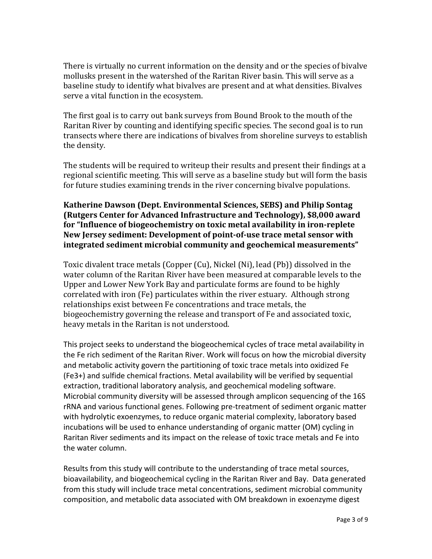There is virtually no current information on the density and or the species of bivalve mollusks present in the watershed of the Raritan River basin. This will serve as a baseline study to identify what bivalves are present and at what densities. Bivalves serve a vital function in the ecosystem.

The first goal is to carry out bank surveys from Bound Brook to the mouth of the Raritan River by counting and identifying specific species. The second goal is to run transects where there are indications of bivalves from shoreline surveys to establish the density.

The students will be required to writeup their results and present their findings at a regional scientific meeting. This will serve as a baseline study but will form the basis for future studies examining trends in the river concerning bivalve populations.

#### **Katherine Dawson (Dept. Environmental Sciences, SEBS) and Philip Sontag (Rutgers Center for Advanced Infrastructure and Technology), \$8,000 award for "Influence of biogeochemistry on toxic metal availability in iron-replete New Jersey sediment: Development of point-of-use trace metal sensor with integrated sediment microbial community and geochemical measurements"**

Toxic divalent trace metals (Copper (Cu), Nickel (Ni), lead (Pb)) dissolved in the water column of the Raritan River have been measured at comparable levels to the Upper and Lower New York Bay and particulate forms are found to be highly correlated with iron (Fe) particulates within the river estuary. Although strong relationships exist between Fe concentrations and trace metals, the biogeochemistry governing the release and transport of Fe and associated toxic, heavy metals in the Raritan is not understood.

This project seeks to understand the biogeochemical cycles of trace metal availability in the Fe rich sediment of the Raritan River. Work will focus on how the microbial diversity and metabolic activity govern the partitioning of toxic trace metals into oxidized Fe (Fe3+) and sulfide chemical fractions. Metal availability will be verified by sequential extraction, traditional laboratory analysis, and geochemical modeling software. Microbial community diversity will be assessed through amplicon sequencing of the 16S rRNA and various functional genes. Following pre-treatment of sediment organic matter with hydrolytic exoenzymes, to reduce organic material complexity, laboratory based incubations will be used to enhance understanding of organic matter (OM) cycling in Raritan River sediments and its impact on the release of toxic trace metals and Fe into the water column.

Results from this study will contribute to the understanding of trace metal sources, bioavailability, and biogeochemical cycling in the Raritan River and Bay. Data generated from this study will include trace metal concentrations, sediment microbial community composition, and metabolic data associated with OM breakdown in exoenzyme digest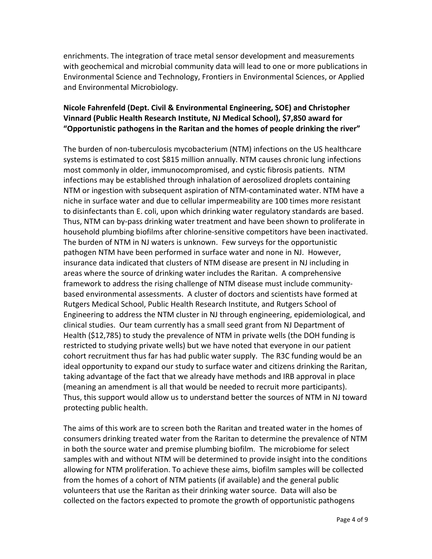enrichments. The integration of trace metal sensor development and measurements with geochemical and microbial community data will lead to one or more publications in Environmental Science and Technology, Frontiers in Environmental Sciences, or Applied and Environmental Microbiology.

#### **Nicole Fahrenfeld (Dept. Civil & Environmental Engineering, SOE) and Christopher Vinnard (Public Health Research Institute, NJ Medical School), \$7,850 award for "Opportunistic pathogens in the Raritan and the homes of people drinking the river"**

The burden of non-tuberculosis mycobacterium (NTM) infections on the US healthcare systems is estimated to cost \$815 million annually. NTM causes chronic lung infections most commonly in older, immunocompromised, and cystic fibrosis patients. NTM infections may be established through inhalation of aerosolized droplets containing NTM or ingestion with subsequent aspiration of NTM-contaminated water. NTM have a niche in surface water and due to cellular impermeability are 100 times more resistant to disinfectants than E. coli, upon which drinking water regulatory standards are based. Thus, NTM can by-pass drinking water treatment and have been shown to proliferate in household plumbing biofilms after chlorine-sensitive competitors have been inactivated. The burden of NTM in NJ waters is unknown. Few surveys for the opportunistic pathogen NTM have been performed in surface water and none in NJ. However, insurance data indicated that clusters of NTM disease are present in NJ including in areas where the source of drinking water includes the Raritan. A comprehensive framework to address the rising challenge of NTM disease must include communitybased environmental assessments. A cluster of doctors and scientists have formed at Rutgers Medical School, Public Health Research Institute, and Rutgers School of Engineering to address the NTM cluster in NJ through engineering, epidemiological, and clinical studies. Our team currently has a small seed grant from NJ Department of Health (\$12,785) to study the prevalence of NTM in private wells (the DOH funding is restricted to studying private wells) but we have noted that everyone in our patient cohort recruitment thus far has had public water supply. The R3C funding would be an ideal opportunity to expand our study to surface water and citizens drinking the Raritan, taking advantage of the fact that we already have methods and IRB approval in place (meaning an amendment is all that would be needed to recruit more participants). Thus, this support would allow us to understand better the sources of NTM in NJ toward protecting public health.

The aims of this work are to screen both the Raritan and treated water in the homes of consumers drinking treated water from the Raritan to determine the prevalence of NTM in both the source water and premise plumbing biofilm. The microbiome for select samples with and without NTM will be determined to provide insight into the conditions allowing for NTM proliferation. To achieve these aims, biofilm samples will be collected from the homes of a cohort of NTM patients (if available) and the general public volunteers that use the Raritan as their drinking water source. Data will also be collected on the factors expected to promote the growth of opportunistic pathogens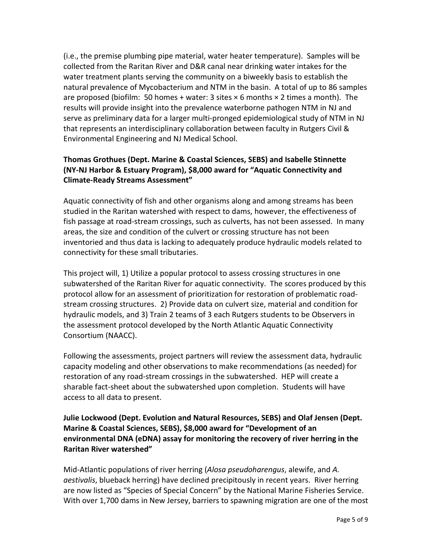(i.e., the premise plumbing pipe material, water heater temperature). Samples will be collected from the Raritan River and D&R canal near drinking water intakes for the water treatment plants serving the community on a biweekly basis to establish the natural prevalence of Mycobacterium and NTM in the basin. A total of up to 86 samples are proposed (biofilm: 50 homes + water: 3 sites  $\times$  6 months  $\times$  2 times a month). The results will provide insight into the prevalence waterborne pathogen NTM in NJ and serve as preliminary data for a larger multi-pronged epidemiological study of NTM in NJ that represents an interdisciplinary collaboration between faculty in Rutgers Civil & Environmental Engineering and NJ Medical School.

# **Thomas Grothues (Dept. Marine & Coastal Sciences, SEBS) and Isabelle Stinnette (NY-NJ Harbor & Estuary Program), \$8,000 award for "Aquatic Connectivity and Climate-Ready Streams Assessment"**

Aquatic connectivity of fish and other organisms along and among streams has been studied in the Raritan watershed with respect to dams, however, the effectiveness of fish passage at road-stream crossings, such as culverts, has not been assessed. In many areas, the size and condition of the culvert or crossing structure has not been inventoried and thus data is lacking to adequately produce hydraulic models related to connectivity for these small tributaries.

This project will, 1) Utilize a popular protocol to assess crossing structures in one subwatershed of the Raritan River for aquatic connectivity. The scores produced by this protocol allow for an assessment of prioritization for restoration of problematic roadstream crossing structures. 2) Provide data on culvert size, material and condition for hydraulic models, and 3) Train 2 teams of 3 each Rutgers students to be Observers in the assessment protocol developed by the North Atlantic Aquatic Connectivity Consortium (NAACC).

Following the assessments, project partners will review the assessment data, hydraulic capacity modeling and other observations to make recommendations (as needed) for restoration of any road-stream crossings in the subwatershed. HEP will create a sharable fact-sheet about the subwatershed upon completion. Students will have access to all data to present.

**Julie Lockwood (Dept. Evolution and Natural Resources, SEBS) and Olaf Jensen (Dept. Marine & Coastal Sciences, SEBS), \$8,000 award for "Development of an environmental DNA (eDNA) assay for monitoring the recovery of river herring in the Raritan River watershed"**

Mid-Atlantic populations of river herring (*Alosa pseudoharengus*, alewife, and *A. aestivalis*, blueback herring) have declined precipitously in recent years. River herring are now listed as "Species of Special Concern" by the National Marine Fisheries Service. With over 1,700 dams in New Jersey, barriers to spawning migration are one of the most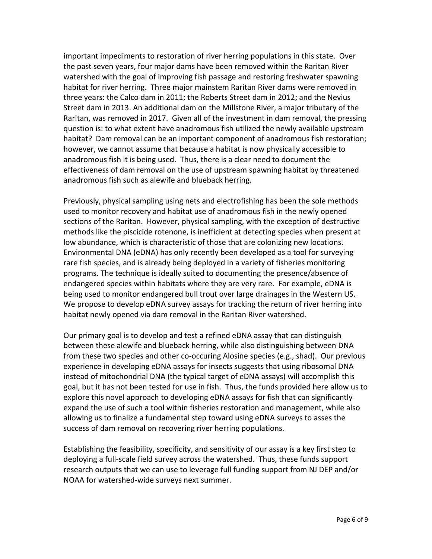important impediments to restoration of river herring populations in this state. Over the past seven years, four major dams have been removed within the Raritan River watershed with the goal of improving fish passage and restoring freshwater spawning habitat for river herring. Three major mainstem Raritan River dams were removed in three years: the Calco dam in 2011; the Roberts Street dam in 2012; and the Nevius Street dam in 2013. An additional dam on the Millstone River, a major tributary of the Raritan, was removed in 2017. Given all of the investment in dam removal, the pressing question is: to what extent have anadromous fish utilized the newly available upstream habitat? Dam removal can be an important component of anadromous fish restoration; however, we cannot assume that because a habitat is now physically accessible to anadromous fish it is being used. Thus, there is a clear need to document the effectiveness of dam removal on the use of upstream spawning habitat by threatened anadromous fish such as alewife and blueback herring.

Previously, physical sampling using nets and electrofishing has been the sole methods used to monitor recovery and habitat use of anadromous fish in the newly opened sections of the Raritan. However, physical sampling, with the exception of destructive methods like the piscicide rotenone, is inefficient at detecting species when present at low abundance, which is characteristic of those that are colonizing new locations. Environmental DNA (eDNA) has only recently been developed as a tool for surveying rare fish species, and is already being deployed in a variety of fisheries monitoring programs. The technique is ideally suited to documenting the presence/absence of endangered species within habitats where they are very rare. For example, eDNA is being used to monitor endangered bull trout over large drainages in the Western US. We propose to develop eDNA survey assays for tracking the return of river herring into habitat newly opened via dam removal in the Raritan River watershed.

Our primary goal is to develop and test a refined eDNA assay that can distinguish between these alewife and blueback herring, while also distinguishing between DNA from these two species and other co-occuring Alosine species (e.g., shad). Our previous experience in developing eDNA assays for insects suggests that using ribosomal DNA instead of mitochondrial DNA (the typical target of eDNA assays) will accomplish this goal, but it has not been tested for use in fish. Thus, the funds provided here allow us to explore this novel approach to developing eDNA assays for fish that can significantly expand the use of such a tool within fisheries restoration and management, while also allowing us to finalize a fundamental step toward using eDNA surveys to asses the success of dam removal on recovering river herring populations.

Establishing the feasibility, specificity, and sensitivity of our assay is a key first step to deploying a full-scale field survey across the watershed. Thus, these funds support research outputs that we can use to leverage full funding support from NJ DEP and/or NOAA for watershed-wide surveys next summer.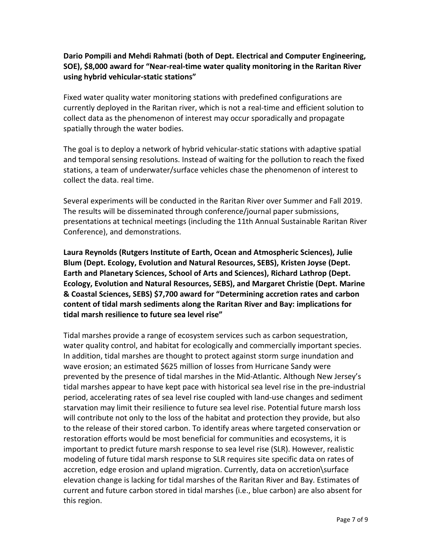#### **Dario Pompili and Mehdi Rahmati (both of Dept. Electrical and Computer Engineering, SOE), \$8,000 award for "Near-real-time water quality monitoring in the Raritan River using hybrid vehicular-static stations"**

Fixed water quality water monitoring stations with predefined configurations are currently deployed in the Raritan river, which is not a real-time and efficient solution to collect data as the phenomenon of interest may occur sporadically and propagate spatially through the water bodies.

The goal is to deploy a network of hybrid vehicular-static stations with adaptive spatial and temporal sensing resolutions. Instead of waiting for the pollution to reach the fixed stations, a team of underwater/surface vehicles chase the phenomenon of interest to collect the data. real time.

Several experiments will be conducted in the Raritan River over Summer and Fall 2019. The results will be disseminated through conference/journal paper submissions, presentations at technical meetings (including the 11th Annual Sustainable Raritan River Conference), and demonstrations.

**Laura Reynolds (Rutgers Institute of Earth, Ocean and Atmospheric Sciences), Julie Blum (Dept. Ecology, Evolution and Natural Resources, SEBS), Kristen Joyse (Dept. Earth and Planetary Sciences, School of Arts and Sciences), Richard Lathrop (Dept. Ecology, Evolution and Natural Resources, SEBS), and Margaret Christie (Dept. Marine & Coastal Sciences, SEBS) \$7,700 award for "Determining accretion rates and carbon content of tidal marsh sediments along the Raritan River and Bay: implications for tidal marsh resilience to future sea level rise"**

Tidal marshes provide a range of ecosystem services such as carbon sequestration, water quality control, and habitat for ecologically and commercially important species. In addition, tidal marshes are thought to protect against storm surge inundation and wave erosion; an estimated \$625 million of losses from Hurricane Sandy were prevented by the presence of tidal marshes in the Mid-Atlantic. Although New Jersey's tidal marshes appear to have kept pace with historical sea level rise in the pre-industrial period, accelerating rates of sea level rise coupled with land-use changes and sediment starvation may limit their resilience to future sea level rise. Potential future marsh loss will contribute not only to the loss of the habitat and protection they provide, but also to the release of their stored carbon. To identify areas where targeted conservation or restoration efforts would be most beneficial for communities and ecosystems, it is important to predict future marsh response to sea level rise (SLR). However, realistic modeling of future tidal marsh response to SLR requires site specific data on rates of accretion, edge erosion and upland migration. Currently, data on accretion\surface elevation change is lacking for tidal marshes of the Raritan River and Bay. Estimates of current and future carbon stored in tidal marshes (i.e., blue carbon) are also absent for this region.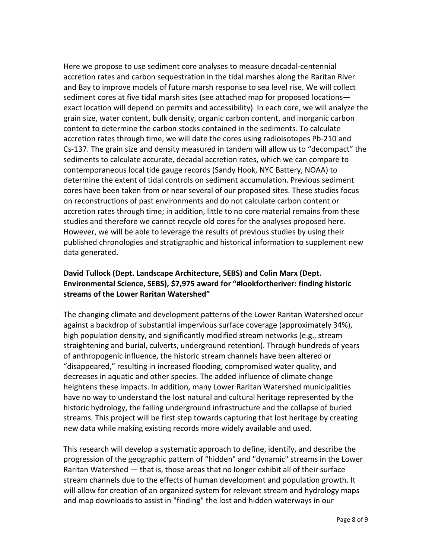Here we propose to use sediment core analyses to measure decadal-centennial accretion rates and carbon sequestration in the tidal marshes along the Raritan River and Bay to improve models of future marsh response to sea level rise. We will collect sediment cores at five tidal marsh sites (see attached map for proposed locations exact location will depend on permits and accessibility). In each core, we will analyze the grain size, water content, bulk density, organic carbon content, and inorganic carbon content to determine the carbon stocks contained in the sediments. To calculate accretion rates through time, we will date the cores using radioisotopes Pb-210 and Cs-137. The grain size and density measured in tandem will allow us to "decompact" the sediments to calculate accurate, decadal accretion rates, which we can compare to contemporaneous local tide gauge records (Sandy Hook, NYC Battery, NOAA) to determine the extent of tidal controls on sediment accumulation. Previous sediment cores have been taken from or near several of our proposed sites. These studies focus on reconstructions of past environments and do not calculate carbon content or accretion rates through time; in addition, little to no core material remains from these studies and therefore we cannot recycle old cores for the analyses proposed here. However, we will be able to leverage the results of previous studies by using their published chronologies and stratigraphic and historical information to supplement new data generated.

#### **David Tullock (Dept. Landscape Architecture, SEBS) and Colin Marx (Dept. Environmental Science, SEBS), \$7,975 award for "#lookfortheriver: finding historic streams of the Lower Raritan Watershed"**

The changing climate and development patterns of the Lower Raritan Watershed occur against a backdrop of substantial impervious surface coverage (approximately 34%), high population density, and significantly modified stream networks (e.g., stream straightening and burial, culverts, underground retention). Through hundreds of years of anthropogenic influence, the historic stream channels have been altered or "disappeared," resulting in increased flooding, compromised water quality, and decreases in aquatic and other species. The added influence of climate change heightens these impacts. In addition, many Lower Raritan Watershed municipalities have no way to understand the lost natural and cultural heritage represented by the historic hydrology, the failing underground infrastructure and the collapse of buried streams. This project will be first step towards capturing that lost heritage by creating new data while making existing records more widely available and used.

This research will develop a systematic approach to define, identify, and describe the progression of the geographic pattern of "hidden" and "dynamic" streams in the Lower Raritan Watershed — that is, those areas that no longer exhibit all of their surface stream channels due to the effects of human development and population growth. It will allow for creation of an organized system for relevant stream and hydrology maps and map downloads to assist in "finding" the lost and hidden waterways in our